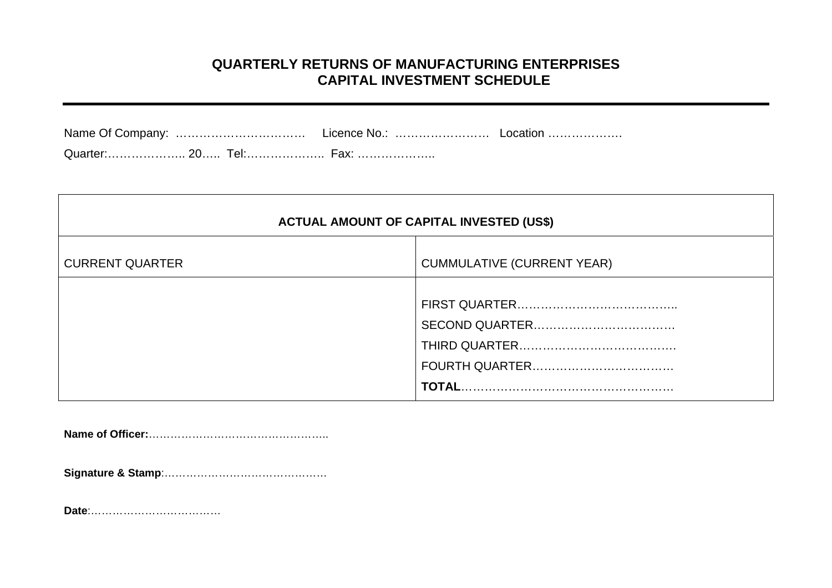# **QUARTERLY RETURNS OF MANUFACTURING ENTERPRISES CAPITAL INVESTMENT SCHEDULE**

| <b>ACTUAL AMOUNT OF CAPITAL INVESTED (US\$)</b> |                                   |  |  |
|-------------------------------------------------|-----------------------------------|--|--|
| <b>CURRENT QUARTER</b>                          | <b>CUMMULATIVE (CURRENT YEAR)</b> |  |  |
|                                                 |                                   |  |  |

**Name of Officer:**…………………………………………..

**Signature & Stamp**:………………………………………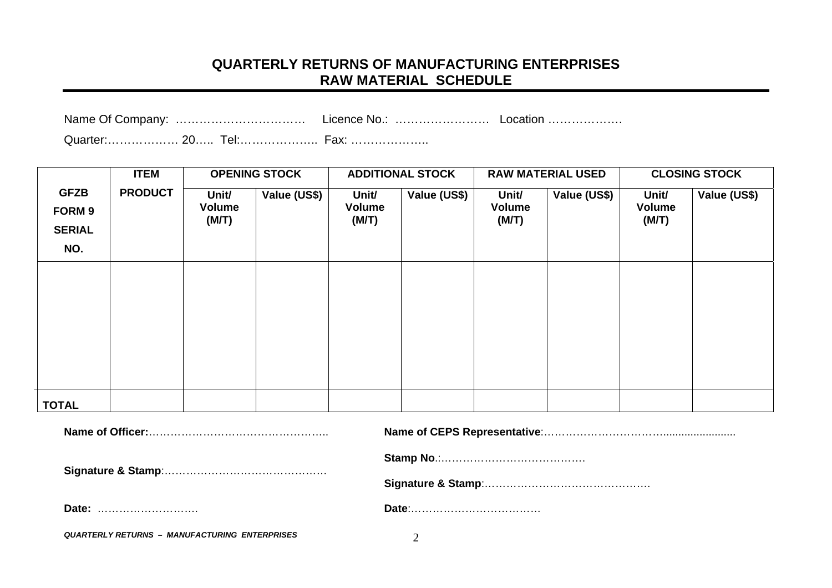# **QUARTERLY RETURNS OF MANUFACTURING ENTERPRISES RAW MATERIAL SCHEDULE**

Quarter:……………… 20….. Tel:……………….. Fax: ………………..

|                                                      | <b>ITEM</b>    |                          | <b>OPENING STOCK</b> |                          | <b>ADDITIONAL STOCK</b> |                          | <b>RAW MATERIAL USED</b> |                                 | <b>CLOSING STOCK</b> |
|------------------------------------------------------|----------------|--------------------------|----------------------|--------------------------|-------------------------|--------------------------|--------------------------|---------------------------------|----------------------|
| <b>GFZB</b><br><b>FORM 9</b><br><b>SERIAL</b><br>NO. | <b>PRODUCT</b> | Unit/<br>Volume<br>(M/T) | Value (US\$)         | Unit/<br>Volume<br>(M/T) | Value (US\$)            | Unit/<br>Volume<br>(M/T) | Value (US\$)             | Unit/<br><b>Volume</b><br>(M/T) | Value (US\$)         |
|                                                      |                |                          |                      |                          |                         |                          |                          |                                 |                      |
|                                                      |                |                          |                      |                          |                         |                          |                          |                                 |                      |
|                                                      |                |                          |                      |                          |                         |                          |                          |                                 |                      |
|                                                      |                |                          |                      |                          |                         |                          |                          |                                 |                      |
| <b>TOTAL</b>                                         |                |                          |                      |                          |                         |                          |                          |                                 |                      |

| Date:                                                |  |
|------------------------------------------------------|--|
| <b>QUARTERLY RETURNS - MANUFACTURING ENTERPRISES</b> |  |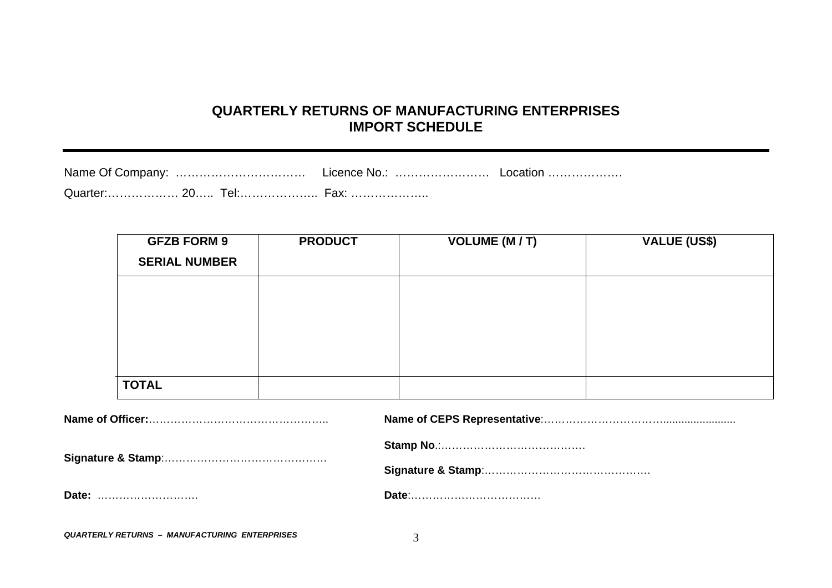# **QUARTERLY RETURNS OF MANUFACTURING ENTERPRISES IMPORT SCHEDULE**

| <b>GFZB FORM 9</b><br><b>SERIAL NUMBER</b> | <b>PRODUCT</b> | <b>VOLUME (M/T)</b> | <b>VALUE (US\$)</b> |
|--------------------------------------------|----------------|---------------------|---------------------|
|                                            |                |                     |                     |
|                                            |                |                     |                     |
|                                            |                |                     |                     |
| <b>TOTAL</b>                               |                |                     |                     |

| Date: |  |
|-------|--|
|       |  |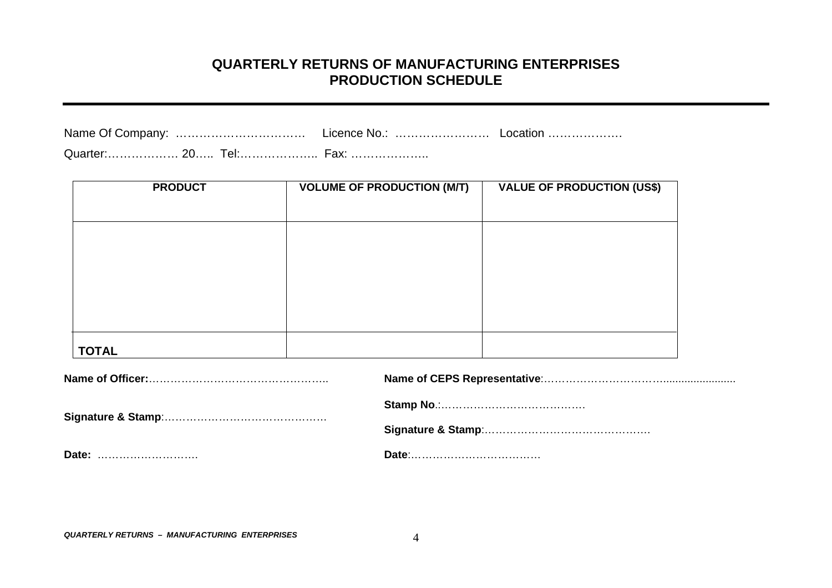# **QUARTERLY RETURNS OF MANUFACTURING ENTERPRISES PRODUCTION SCHEDULE**

| Name Of Company:      |  | Licence No.: | Location |  |
|-----------------------|--|--------------|----------|--|
| Quarter: 20 Tel: Fax: |  |              |          |  |

| <b>PRODUCT</b> | <b>VOLUME OF PRODUCTION (M/T)</b> | <b>VALUE OF PRODUCTION (US\$)</b> |
|----------------|-----------------------------------|-----------------------------------|
|                |                                   |                                   |
|                |                                   |                                   |
|                |                                   |                                   |
|                |                                   |                                   |
|                |                                   |                                   |
|                |                                   |                                   |
|                |                                   |                                   |
|                |                                   |                                   |
|                |                                   |                                   |
|                |                                   |                                   |
| <b>TOTAL</b>   |                                   |                                   |
|                |                                   |                                   |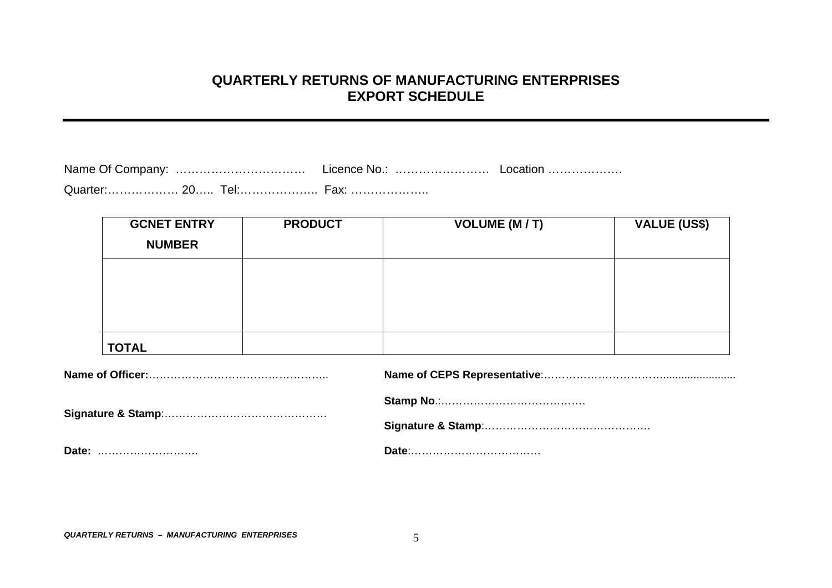#### **QUARTERLY RETURNS OF MANUFACTURING ENTERPRISES EXPORT SCHEDULE**

| Quarter: 20 |  |  | <b>Fax:</b> |  |
|-------------|--|--|-------------|--|

| <b>GCNET ENTRY</b> | <b>PRODUCT</b> | <b>VOLUME (M/T)</b> | <b>VALUE (US\$)</b> |  |  |
|--------------------|----------------|---------------------|---------------------|--|--|
| <b>NUMBER</b>      |                |                     |                     |  |  |
|                    |                |                     |                     |  |  |
|                    |                |                     |                     |  |  |
|                    |                |                     |                     |  |  |
| <b>TOTAL</b>       |                |                     |                     |  |  |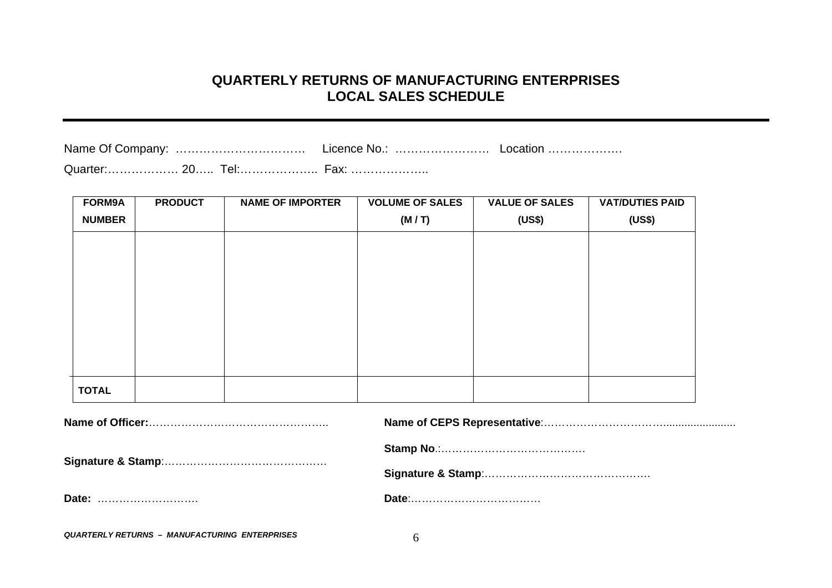# **QUARTERLY RETURNS OF MANUFACTURING ENTERPRISES LOCAL SALES SCHEDULE**

|                       |  | Licence No.: | LOCAtION ………………… |
|-----------------------|--|--------------|------------------|
| Quarter: 20 Tel: Fax: |  |              |                  |

| FORM9A        | <b>PRODUCT</b> | <b>NAME OF IMPORTER</b> | <b>VOLUME OF SALES</b> | <b>VALUE OF SALES</b> | <b>VAT/DUTIES PAID</b> |
|---------------|----------------|-------------------------|------------------------|-----------------------|------------------------|
| <b>NUMBER</b> |                |                         | (M/T)                  | (US\$)                | (US\$)                 |
|               |                |                         |                        |                       |                        |
|               |                |                         |                        |                       |                        |
|               |                |                         |                        |                       |                        |
|               |                |                         |                        |                       |                        |
|               |                |                         |                        |                       |                        |
|               |                |                         |                        |                       |                        |
|               |                |                         |                        |                       |                        |
|               |                |                         |                        |                       |                        |
|               |                |                         |                        |                       |                        |
|               |                |                         |                        |                       |                        |
| <b>TOTAL</b>  |                |                         |                        |                       |                        |

| Date: |  |
|-------|--|
|       |  |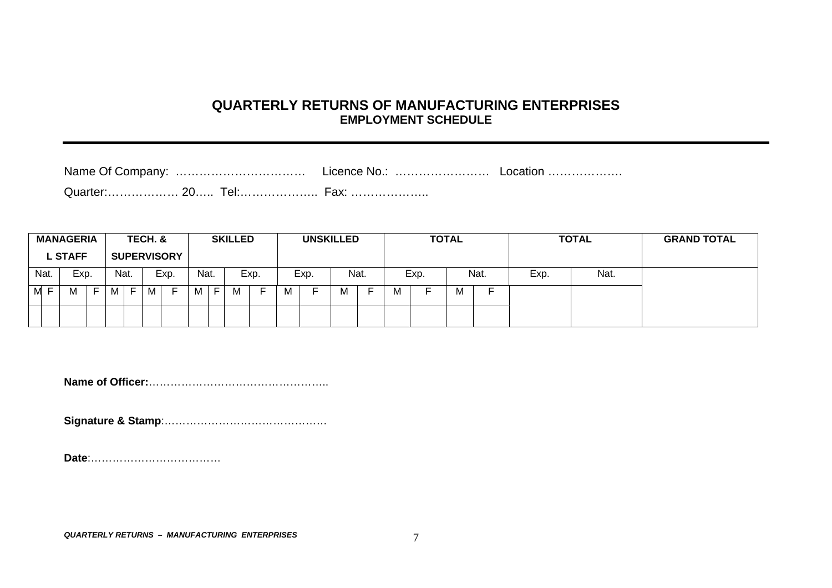#### **QUARTERLY RETURNS OF MANUFACTURING ENTERPRISES EMPLOYMENT SCHEDULE**

|                               | <b>MANAGERIA</b><br><b>L STAFF</b> |    |      | TECH. & | <b>SUPERVISORY</b> |      |   | <b>SKILLED</b> |      |   | <b>UNSKILLED</b> |   |      |   |      | <b>TOTAL</b> |      |      | <b>TOTAL</b> | <b>GRAND TOTAL</b> |
|-------------------------------|------------------------------------|----|------|---------|--------------------|------|---|----------------|------|---|------------------|---|------|---|------|--------------|------|------|--------------|--------------------|
| Nat.                          | Exp.                               |    | Nat. |         | Exp.               | Nat. |   |                | Exp. |   | Exp.             |   | Nat. |   | Exp. |              | Nat. | Exp. | Nat.         |                    |
| $M_{\odot}$<br>$\blacksquare$ |                                    | E. | M F  | M       |                    | M    | E | M              |      | м |                  | м |      | M |      | M            |      |      |              |                    |
|                               |                                    |    |      |         |                    |      |   |                |      |   |                  |   |      |   |      |              |      |      |              |                    |

**Name of Officer:**…………………………………………..

**Signature & Stamp**:………………………………………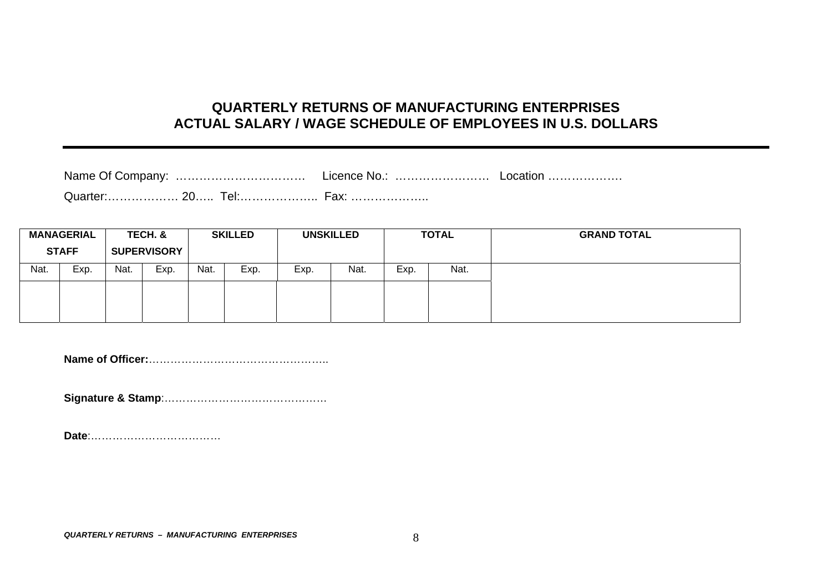# **QUARTERLY RETURNS OF MANUFACTURING ENTERPRISES ACTUAL SALARY / WAGE SCHEDULE OF EMPLOYEES IN U.S. DOLLARS**

| Quarter: 20 |  | <b>Fax:</b> |  |
|-------------|--|-------------|--|

|      | <b>MANAGERIAL</b><br><b>STAFF</b> |      | TECH. &<br><b>SUPERVISORY</b> |      | <b>SKILLED</b> |      | <b>UNSKILLED</b> |      | <b>TOTAL</b> | <b>GRAND TOTAL</b> |
|------|-----------------------------------|------|-------------------------------|------|----------------|------|------------------|------|--------------|--------------------|
| Nat. | Exp.                              | Nat. | Exp.                          | Nat. | Exp.           | Exp. | Nat.             | Exp. | Nat.         |                    |
|      |                                   |      |                               |      |                |      |                  |      |              |                    |
|      |                                   |      |                               |      |                |      |                  |      |              |                    |

**Name of Officer:**…………………………………………..

**Signature & Stamp**:………………………………………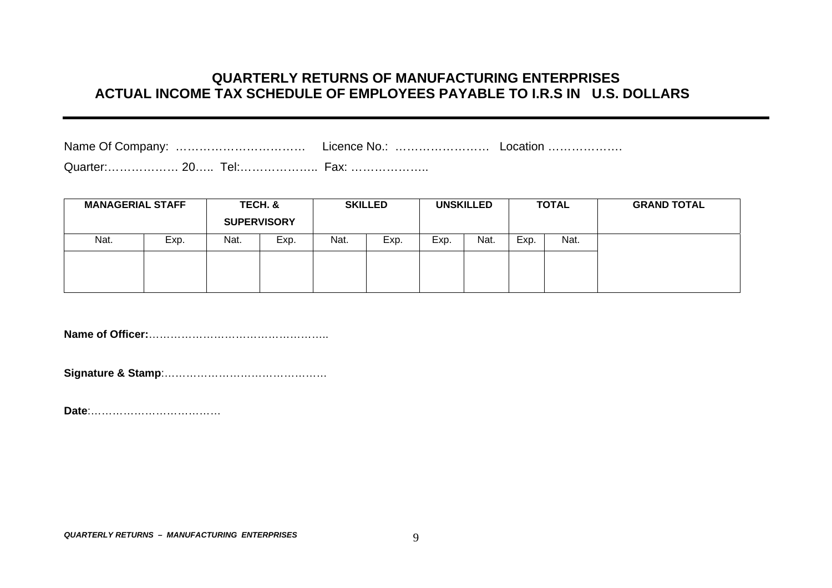### **QUARTERLY RETURNS OF MANUFACTURING ENTERPRISES ACTUAL INCOME TAX SCHEDULE OF EMPLOYEES PAYABLE TO I.R.S IN U.S. DOLLARS**

Quarter:……………… 20….. Tel:……………….. Fax: ………………..

|      | <b>MANAGERIAL STAFF</b><br>TECH. &<br><b>SUPERVISORY</b> |      | <b>SKILLED</b> |      | <b>UNSKILLED</b> |      | <b>TOTAL</b> |      | <b>GRAND TOTAL</b> |  |
|------|----------------------------------------------------------|------|----------------|------|------------------|------|--------------|------|--------------------|--|
| Nat. | Exp.                                                     | Nat. | Exp.           | Nat. | Exp.             | Exp. | Nat.         | Exp. | Nat.               |  |
|      |                                                          |      |                |      |                  |      |              |      |                    |  |

**Name of Officer:**…………………………………………..

**Signature & Stamp**:………………………………………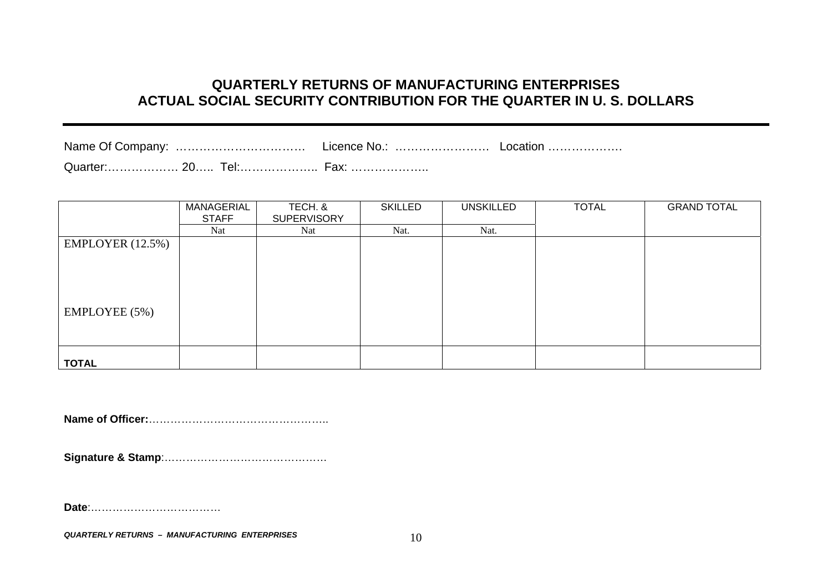# **QUARTERLY RETURNS OF MANUFACTURING ENTERPRISES ACTUAL SOCIAL SECURITY CONTRIBUTION FOR THE QUARTER IN U. S. DOLLARS**

|--|--|--|

Quarter:……………… 20….. Tel:……………….. Fax: ………………..

|                     | MANAGERIAL   | TECH. &            | <b>SKILLED</b> | <b>UNSKILLED</b> | <b>TOTAL</b> | <b>GRAND TOTAL</b> |
|---------------------|--------------|--------------------|----------------|------------------|--------------|--------------------|
|                     | <b>STAFF</b> | <b>SUPERVISORY</b> |                |                  |              |                    |
|                     | Nat          | Nat                | Nat.           | Nat.             |              |                    |
| EMPLOYER $(12.5\%)$ |              |                    |                |                  |              |                    |
|                     |              |                    |                |                  |              |                    |
|                     |              |                    |                |                  |              |                    |
|                     |              |                    |                |                  |              |                    |
|                     |              |                    |                |                  |              |                    |
| EMPLOYEE (5%)       |              |                    |                |                  |              |                    |
|                     |              |                    |                |                  |              |                    |
|                     |              |                    |                |                  |              |                    |
|                     |              |                    |                |                  |              |                    |
|                     |              |                    |                |                  |              |                    |
| <b>TOTAL</b>        |              |                    |                |                  |              |                    |

**Name of Officer:**…………………………………………..

**Signature & Stamp**:………………………………………

**Date**:………………………………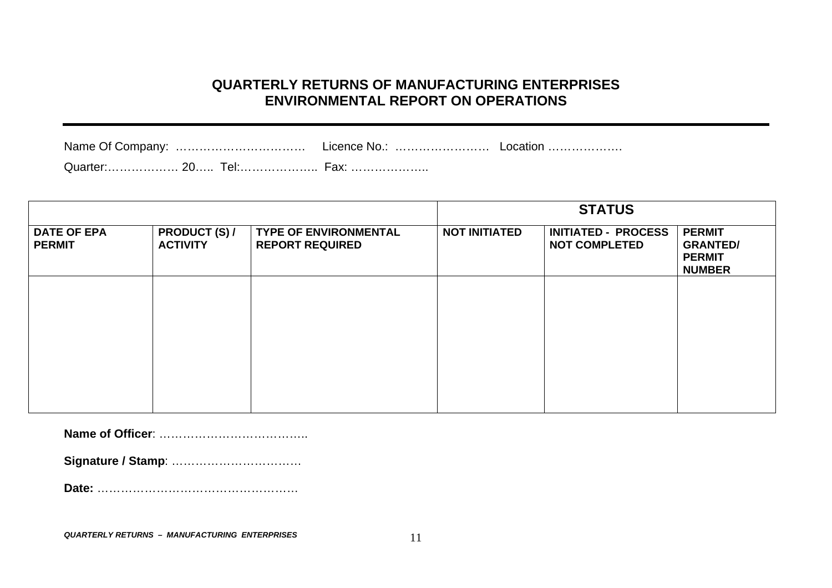# **QUARTERLY RETURNS OF MANUFACTURING ENTERPRISES ENVIRONMENTAL REPORT ON OPERATIONS**

|                                     |                                         |                                                        | <b>STATUS</b>        |                                                    |                                                                    |  |
|-------------------------------------|-----------------------------------------|--------------------------------------------------------|----------------------|----------------------------------------------------|--------------------------------------------------------------------|--|
| <b>DATE OF EPA</b><br><b>PERMIT</b> | <b>PRODUCT (S) /</b><br><b>ACTIVITY</b> | <b>TYPE OF ENVIRONMENTAL</b><br><b>REPORT REQUIRED</b> | <b>NOT INITIATED</b> | <b>INITIATED - PROCESS</b><br><b>NOT COMPLETED</b> | <b>PERMIT</b><br><b>GRANTED/</b><br><b>PERMIT</b><br><b>NUMBER</b> |  |
|                                     |                                         |                                                        |                      |                                                    |                                                                    |  |
|                                     |                                         |                                                        |                      |                                                    |                                                                    |  |
|                                     |                                         |                                                        |                      |                                                    |                                                                    |  |
|                                     |                                         |                                                        |                      |                                                    |                                                                    |  |

**Name of Officer**: ………………………………..

**Signature / Stamp**: ……………………………

**Date:** ……………………………………………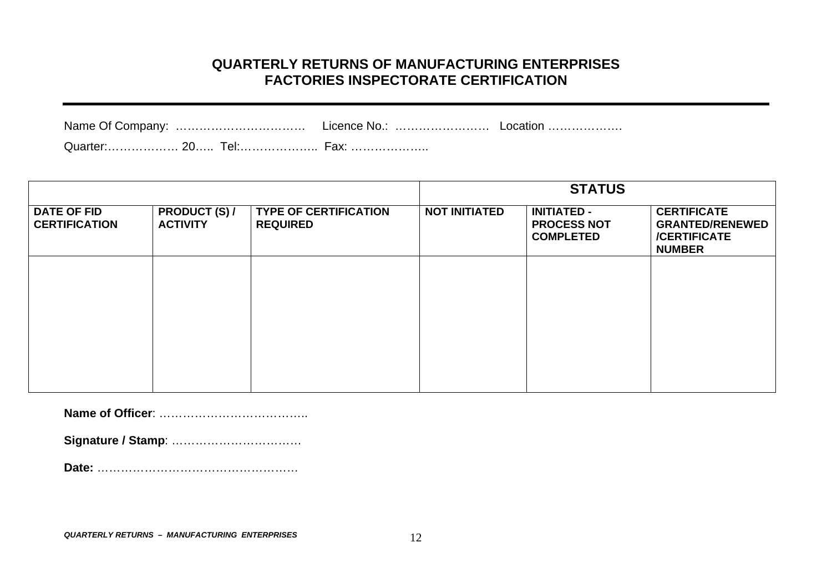# **QUARTERLY RETURNS OF MANUFACTURING ENTERPRISES FACTORIES INSPECTORATE CERTIFICATION**

Quarter:……………… 20….. Tel:……………….. Fax: ………………..

|                                            |                                         |                                                 | <b>STATUS</b>        |                                                              |                                                                                      |  |  |
|--------------------------------------------|-----------------------------------------|-------------------------------------------------|----------------------|--------------------------------------------------------------|--------------------------------------------------------------------------------------|--|--|
| <b>DATE OF FID</b><br><b>CERTIFICATION</b> | <b>PRODUCT (S) /</b><br><b>ACTIVITY</b> | <b>TYPE OF CERTIFICATION</b><br><b>REQUIRED</b> | <b>NOT INITIATED</b> | <b>INITIATED -</b><br><b>PROCESS NOT</b><br><b>COMPLETED</b> | <b>CERTIFICATE</b><br><b>GRANTED/RENEWED</b><br><b>/CERTIFICATE</b><br><b>NUMBER</b> |  |  |
|                                            |                                         |                                                 |                      |                                                              |                                                                                      |  |  |
|                                            |                                         |                                                 |                      |                                                              |                                                                                      |  |  |
|                                            |                                         |                                                 |                      |                                                              |                                                                                      |  |  |
|                                            |                                         |                                                 |                      |                                                              |                                                                                      |  |  |

**Name of Officer**: ………………………………..

**Signature / Stamp**: ……………………………

**Date:** ……………………………………………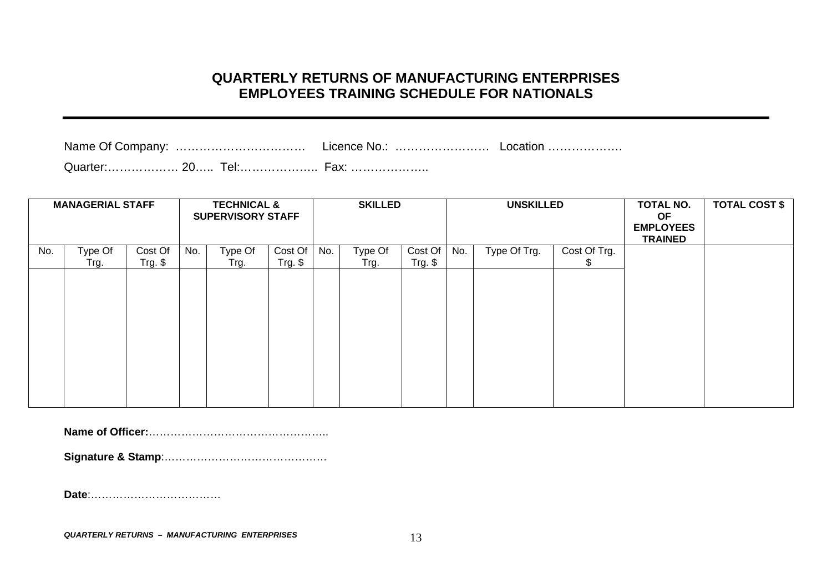# **QUARTERLY RETURNS OF MANUFACTURING ENTERPRISES EMPLOYEES TRAINING SCHEDULE FOR NATIONALS**

| Name Of Company: | Licence No | ∟ocation ………………… |
|------------------|------------|------------------|
|                  |            |                  |

|     | <b>MANAGERIAL STAFF</b> |                     |     | <b>TECHNICAL &amp;</b><br><b>SUPERVISORY STAFF</b> |                     |     | <b>SKILLED</b>  |                    | <b>UNSKILLED</b> |              | <b>TOTAL NO.</b><br>OF<br><b>EMPLOYEES</b><br><b>TRAINED</b> | <b>TOTAL COST \$</b> |  |
|-----|-------------------------|---------------------|-----|----------------------------------------------------|---------------------|-----|-----------------|--------------------|------------------|--------------|--------------------------------------------------------------|----------------------|--|
| No. | Type Of<br>Trg.         | Cost Of<br>Trg. $$$ | No. | Type Of<br>Trg.                                    | Cost Of<br>Trg. $$$ | No. | Type Of<br>Trg. | Cost Of<br>Trg. \$ | No.              | Type Of Trg. | Cost Of Trg.                                                 |                      |  |
|     |                         |                     |     |                                                    |                     |     |                 |                    |                  |              |                                                              |                      |  |
|     |                         |                     |     |                                                    |                     |     |                 |                    |                  |              |                                                              |                      |  |
|     |                         |                     |     |                                                    |                     |     |                 |                    |                  |              |                                                              |                      |  |
|     |                         |                     |     |                                                    |                     |     |                 |                    |                  |              |                                                              |                      |  |
|     |                         |                     |     |                                                    |                     |     |                 |                    |                  |              |                                                              |                      |  |
|     |                         |                     |     |                                                    |                     |     |                 |                    |                  |              |                                                              |                      |  |
|     |                         |                     |     |                                                    |                     |     |                 |                    |                  |              |                                                              |                      |  |

**Name of Officer:**…………………………………………..

**Signature & Stamp**:………………………………………

**Date**:………………………………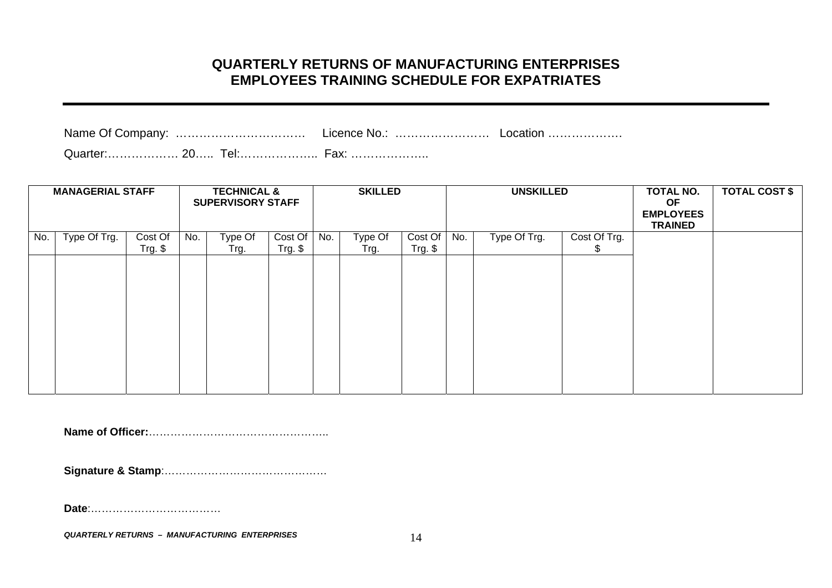# **QUARTERLY RETURNS OF MANUFACTURING ENTERPRISES EMPLOYEES TRAINING SCHEDULE FOR EXPATRIATES**

| $\sim$ $\sim$ |  |  |
|---------------|--|--|

Quarter:……………… 20….. Tel:……………….. Fax: ………………..

|     | <b>MANAGERIAL STAFF</b> |           |     | <b>TECHNICAL &amp;</b><br><b>SUPERVISORY STAFF</b> |            |     | <b>SKILLED</b> |          | <b>UNSKILLED</b> |              | TOTAL NO.<br><b>OF</b><br><b>EMPLOYEES</b><br><b>TRAINED</b> | <b>TOTAL COST \$</b> |  |
|-----|-------------------------|-----------|-----|----------------------------------------------------|------------|-----|----------------|----------|------------------|--------------|--------------------------------------------------------------|----------------------|--|
| No. | Type Of Trg.            | Cost Of   | No. | Type Of                                            | Cost Of    | No. | Type Of        | Cost Of  | No.              | Type Of Trg. | Cost Of Trg.                                                 |                      |  |
|     |                         | $Trg.$ \$ |     | Trg.                                               | $Trg.$ $$$ |     | Trg.           | Trg. $$$ |                  |              | Φ                                                            |                      |  |
|     |                         |           |     |                                                    |            |     |                |          |                  |              |                                                              |                      |  |
|     |                         |           |     |                                                    |            |     |                |          |                  |              |                                                              |                      |  |
|     |                         |           |     |                                                    |            |     |                |          |                  |              |                                                              |                      |  |
|     |                         |           |     |                                                    |            |     |                |          |                  |              |                                                              |                      |  |
|     |                         |           |     |                                                    |            |     |                |          |                  |              |                                                              |                      |  |
|     |                         |           |     |                                                    |            |     |                |          |                  |              |                                                              |                      |  |
|     |                         |           |     |                                                    |            |     |                |          |                  |              |                                                              |                      |  |
|     |                         |           |     |                                                    |            |     |                |          |                  |              |                                                              |                      |  |

**Name of Officer:**…………………………………………..

**Signature & Stamp**:………………………………………

**Date**:………………………………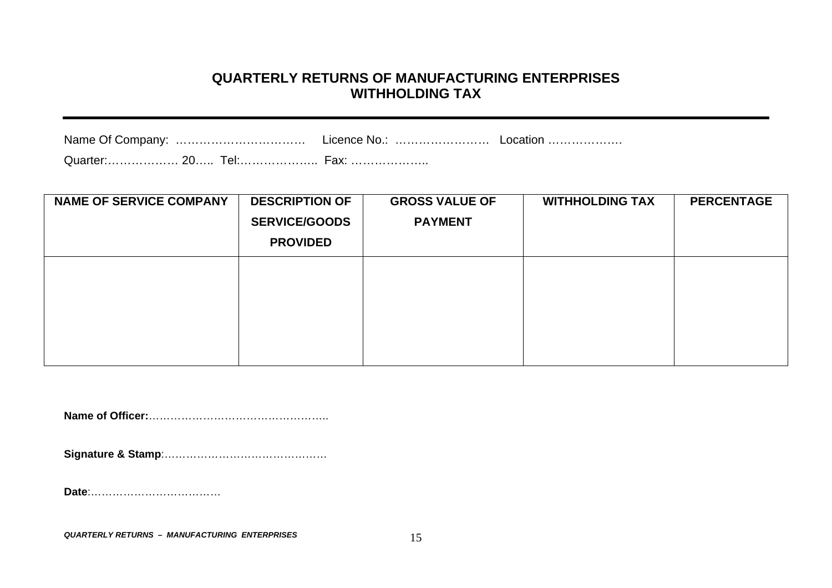### **QUARTERLY RETURNS OF MANUFACTURING ENTERPRISES WITHHOLDING TAX**

| Name Of Company: | Licence No.: |  |
|------------------|--------------|--|
|                  |              |  |

| <b>NAME OF SERVICE COMPANY</b> | <b>DESCRIPTION OF</b> | <b>GROSS VALUE OF</b> | <b>WITHHOLDING TAX</b> | <b>PERCENTAGE</b> |
|--------------------------------|-----------------------|-----------------------|------------------------|-------------------|
|                                | <b>SERVICE/GOODS</b>  | <b>PAYMENT</b>        |                        |                   |
|                                | <b>PROVIDED</b>       |                       |                        |                   |
|                                |                       |                       |                        |                   |
|                                |                       |                       |                        |                   |
|                                |                       |                       |                        |                   |
|                                |                       |                       |                        |                   |
|                                |                       |                       |                        |                   |

**Name of Officer:**…………………………………………..

**Signature & Stamp**:………………………………………

**Date**:………………………………